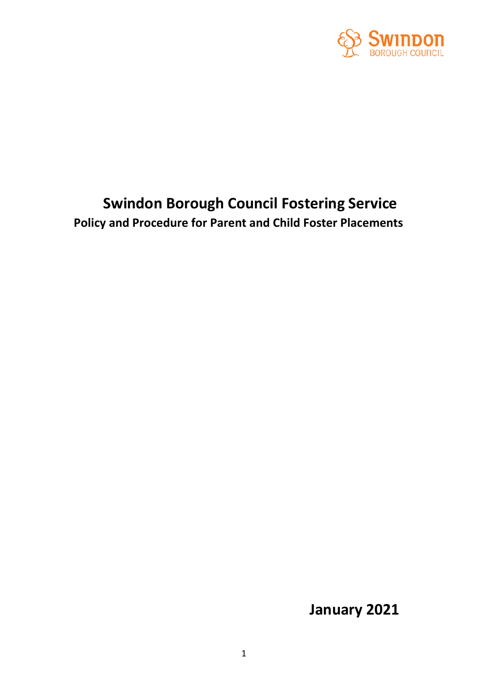

# **Swindon Borough Council Fostering Service Policy and Procedure for Parent and Child Foster Placements**

**January 2021**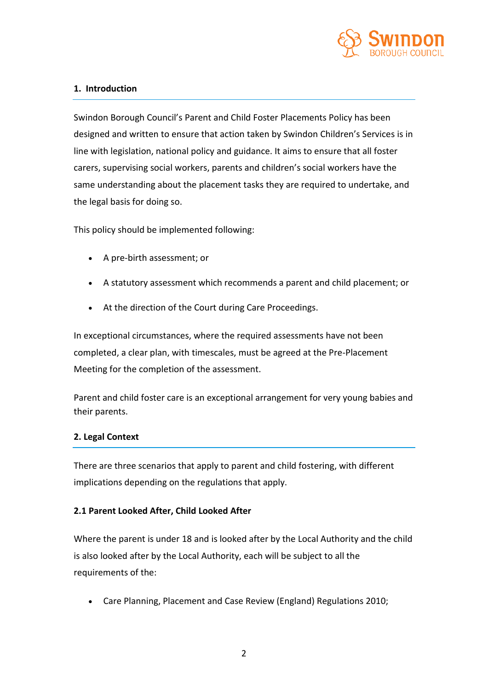

#### **1. Introduction**

Swindon Borough Council's Parent and Child Foster Placements Policy has been designed and written to ensure that action taken by Swindon Children's Services is in line with legislation, national policy and guidance. It aims to ensure that all foster carers, supervising social workers, parents and children's social workers have the same understanding about the placement tasks they are required to undertake, and the legal basis for doing so.

This policy should be implemented following:

- A pre-birth assessment; or
- A statutory assessment which recommends a parent and child placement; or
- At the direction of the Court during Care Proceedings.

In exceptional circumstances, where the required assessments have not been completed, a clear plan, with timescales, must be agreed at the Pre-Placement Meeting for the completion of the assessment.

Parent and child foster care is an exceptional arrangement for very young babies and their parents.

## **2. Legal Context**

There are three scenarios that apply to parent and child fostering, with different implications depending on the regulations that apply.

## **2.1 Parent Looked After, Child Looked After**

Where the parent is under 18 and is looked after by the Local Authority and the child is also looked after by the Local Authority, each will be subject to all the requirements of the:

• Care Planning, Placement and Case Review (England) Regulations 2010;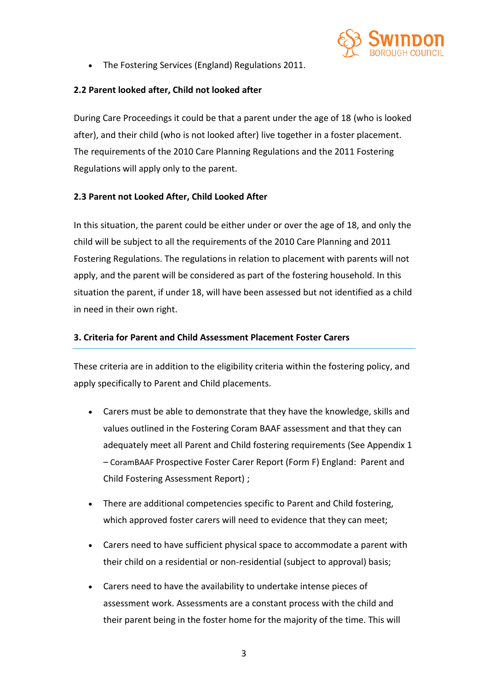

• The Fostering Services (England) Regulations 2011.

# **2.2 Parent looked after, Child not looked after**

During Care Proceedings it could be that a parent under the age of 18 (who is looked after), and their child (who is not looked after) live together in a foster placement. The requirements of the 2010 Care Planning Regulations and the 2011 Fostering Regulations will apply only to the parent.

# **2.3 Parent not Looked After, Child Looked After**

In this situation, the parent could be either under or over the age of 18, and only the child will be subject to all the requirements of the 2010 Care Planning and 2011 Fostering Regulations. The regulations in relation to placement with parents will not apply, and the parent will be considered as part of the fostering household. In this situation the parent, if under 18, will have been assessed but not identified as a child in need in their own right.

## **3. Criteria for Parent and Child Assessment Placement Foster Carers**

These criteria are in addition to the eligibility criteria within the fostering policy, and apply specifically to Parent and Child placements.

- Carers must be able to demonstrate that they have the knowledge, skills and values outlined in the Fostering Coram BAAF assessment and that they can adequately meet all Parent and Child fostering requirements (See Appendix 1 – CoramBAAF Prospective Foster Carer Report (Form F) England: Parent and Child Fostering Assessment Report) ;
- There are additional competencies specific to Parent and Child fostering, which approved foster carers will need to evidence that they can meet;
- Carers need to have sufficient physical space to accommodate a parent with their child on a residential or non-residential (subject to approval) basis;
- Carers need to have the availability to undertake intense pieces of assessment work. Assessments are a constant process with the child and their parent being in the foster home for the majority of the time. This will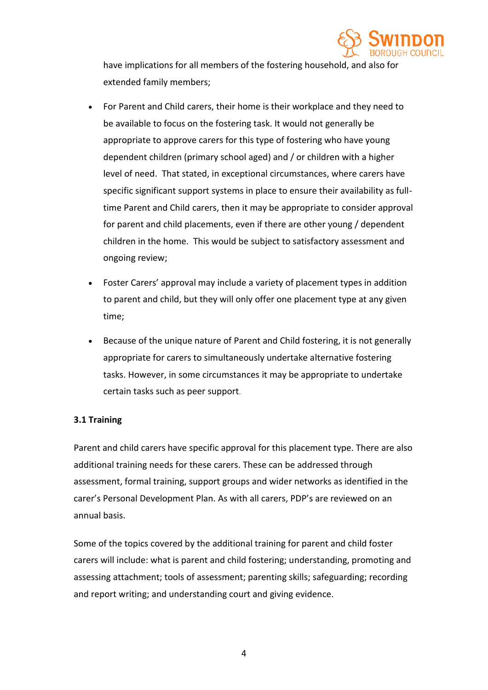

have implications for all members of the fostering household, and also for extended family members;

- For Parent and Child carers, their home is their workplace and they need to be available to focus on the fostering task. It would not generally be appropriate to approve carers for this type of fostering who have young dependent children (primary school aged) and / or children with a higher level of need. That stated, in exceptional circumstances, where carers have specific significant support systems in place to ensure their availability as fulltime Parent and Child carers, then it may be appropriate to consider approval for parent and child placements, even if there are other young / dependent children in the home. This would be subject to satisfactory assessment and ongoing review;
- Foster Carers' approval may include a variety of placement types in addition to parent and child, but they will only offer one placement type at any given time;
- Because of the unique nature of Parent and Child fostering, it is not generally appropriate for carers to simultaneously undertake alternative fostering tasks. However, in some circumstances it may be appropriate to undertake certain tasks such as peer support.

## **3.1 Training**

Parent and child carers have specific approval for this placement type. There are also additional training needs for these carers. These can be addressed through assessment, formal training, support groups and wider networks as identified in the carer's Personal Development Plan. As with all carers, PDP's are reviewed on an annual basis.

Some of the topics covered by the additional training for parent and child foster carers will include: what is parent and child fostering; understanding, promoting and assessing attachment; tools of assessment; parenting skills; safeguarding; recording and report writing; and understanding court and giving evidence.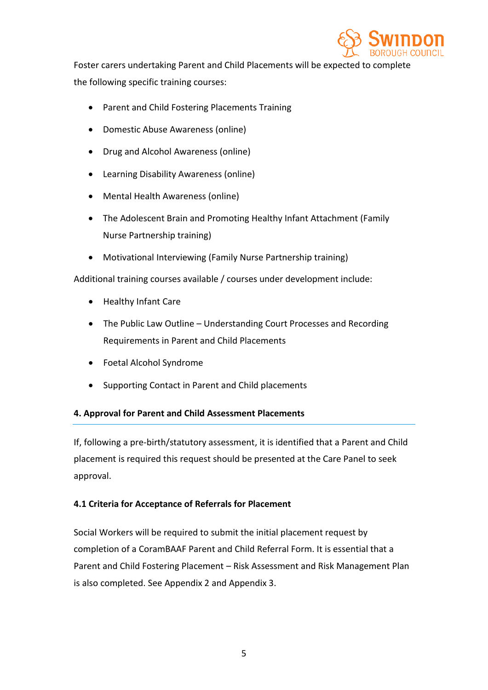

Foster carers undertaking Parent and Child Placements will be expected to complete the following specific training courses:

- Parent and Child Fostering Placements Training
- Domestic Abuse Awareness (online)
- Drug and Alcohol Awareness (online)
- Learning Disability Awareness (online)
- Mental Health Awareness (online)
- The Adolescent Brain and Promoting Healthy Infant Attachment (Family Nurse Partnership training)
- Motivational Interviewing (Family Nurse Partnership training)

Additional training courses available / courses under development include:

- Healthy Infant Care
- The Public Law Outline Understanding Court Processes and Recording Requirements in Parent and Child Placements
- Foetal Alcohol Syndrome
- Supporting Contact in Parent and Child placements

## **4. Approval for Parent and Child Assessment Placements**

If, following a pre-birth/statutory assessment, it is identified that a Parent and Child placement is required this request should be presented at the Care Panel to seek approval.

## **4.1 Criteria for Acceptance of Referrals for Placement**

Social Workers will be required to submit the initial placement request by completion of a CoramBAAF Parent and Child Referral Form. It is essential that a Parent and Child Fostering Placement – Risk Assessment and Risk Management Plan is also completed. See Appendix 2 and Appendix 3.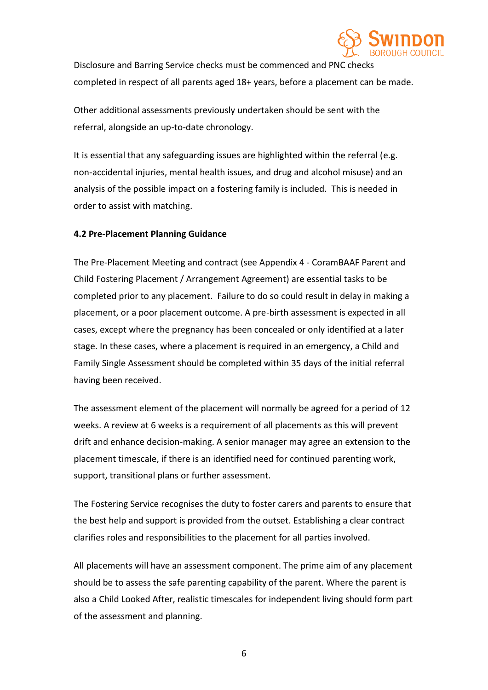

Disclosure and Barring Service checks must be commenced and PNC checks completed in respect of all parents aged 18+ years, before a placement can be made.

Other additional assessments previously undertaken should be sent with the referral, alongside an up-to-date chronology.

It is essential that any safeguarding issues are highlighted within the referral (e.g. non-accidental injuries, mental health issues, and drug and alcohol misuse) and an analysis of the possible impact on a fostering family is included. This is needed in order to assist with matching.

#### **4.2 Pre-Placement Planning Guidance**

The Pre-Placement Meeting and contract (see Appendix 4 - CoramBAAF Parent and Child Fostering Placement / Arrangement Agreement) are essential tasks to be completed prior to any placement. Failure to do so could result in delay in making a placement, or a poor placement outcome. A pre-birth assessment is expected in all cases, except where the pregnancy has been concealed or only identified at a later stage. In these cases, where a placement is required in an emergency, a Child and Family Single Assessment should be completed within 35 days of the initial referral having been received.

The assessment element of the placement will normally be agreed for a period of 12 weeks. A review at 6 weeks is a requirement of all placements as this will prevent drift and enhance decision-making. A senior manager may agree an extension to the placement timescale, if there is an identified need for continued parenting work, support, transitional plans or further assessment.

The Fostering Service recognises the duty to foster carers and parents to ensure that the best help and support is provided from the outset. Establishing a clear contract clarifies roles and responsibilities to the placement for all parties involved.

All placements will have an assessment component. The prime aim of any placement should be to assess the safe parenting capability of the parent. Where the parent is also a Child Looked After, realistic timescales for independent living should form part of the assessment and planning.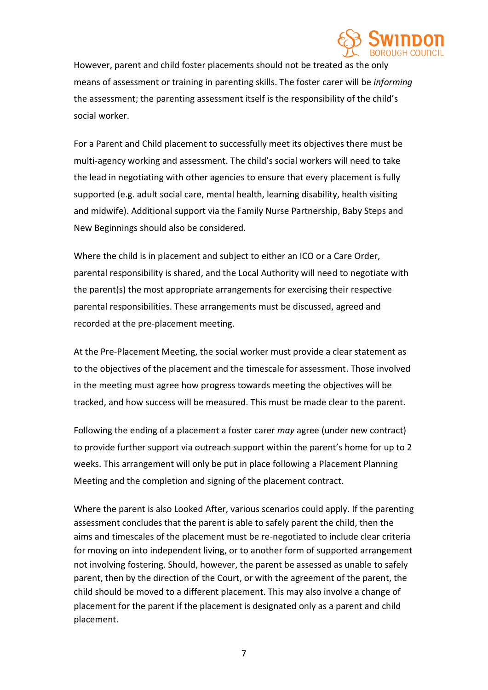

However, parent and child foster placements should not be treated as the only means of assessment or training in parenting skills. The foster carer will be *informing* the assessment; the parenting assessment itself is the responsibility of the child's social worker.

For a Parent and Child placement to successfully meet its objectives there must be multi-agency working and assessment. The child's social workers will need to take the lead in negotiating with other agencies to ensure that every placement is fully supported (e.g. adult social care, mental health, learning disability, health visiting and midwife). Additional support via the Family Nurse Partnership, Baby Steps and New Beginnings should also be considered.

Where the child is in placement and subject to either an ICO or a Care Order, parental responsibility is shared, and the Local Authority will need to negotiate with the parent(s) the most appropriate arrangements for exercising their respective parental responsibilities. These arrangements must be discussed, agreed and recorded at the pre-placement meeting.

At the Pre-Placement Meeting, the social worker must provide a clear statement as to the objectives of the placement and the timescale for assessment. Those involved in the meeting must agree how progress towards meeting the objectives will be tracked, and how success will be measured. This must be made clear to the parent.

Following the ending of a placement a foster carer *may* agree (under new contract) to provide further support via outreach support within the parent's home for up to 2 weeks. This arrangement will only be put in place following a Placement Planning Meeting and the completion and signing of the placement contract.

Where the parent is also Looked After, various scenarios could apply. If the parenting assessment concludes that the parent is able to safely parent the child, then the aims and timescales of the placement must be re-negotiated to include clear criteria for moving on into independent living, or to another form of supported arrangement not involving fostering. Should, however, the parent be assessed as unable to safely parent, then by the direction of the Court, or with the agreement of the parent, the child should be moved to a different placement. This may also involve a change of placement for the parent if the placement is designated only as a parent and child placement.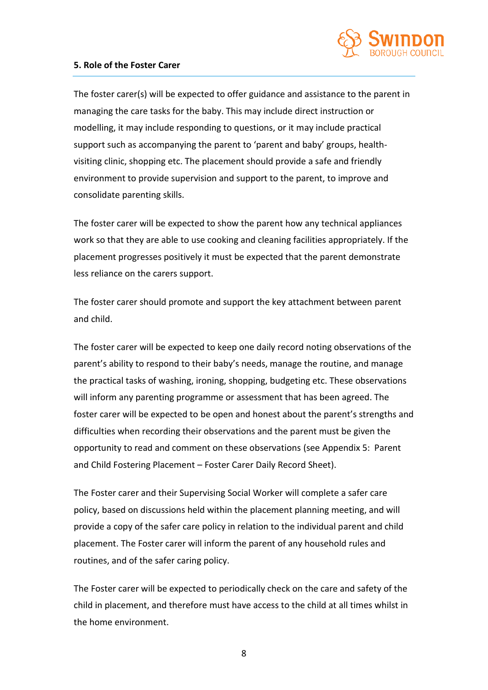

#### **5. Role of the Foster Carer**

The foster carer(s) will be expected to offer guidance and assistance to the parent in managing the care tasks for the baby. This may include direct instruction or modelling, it may include responding to questions, or it may include practical support such as accompanying the parent to 'parent and baby' groups, healthvisiting clinic, shopping etc. The placement should provide a safe and friendly environment to provide supervision and support to the parent, to improve and consolidate parenting skills.

The foster carer will be expected to show the parent how any technical appliances work so that they are able to use cooking and cleaning facilities appropriately. If the placement progresses positively it must be expected that the parent demonstrate less reliance on the carers support.

The foster carer should promote and support the key attachment between parent and child.

The foster carer will be expected to keep one daily record noting observations of the parent's ability to respond to their baby's needs, manage the routine, and manage the practical tasks of washing, ironing, shopping, budgeting etc. These observations will inform any parenting programme or assessment that has been agreed. The foster carer will be expected to be open and honest about the parent's strengths and difficulties when recording their observations and the parent must be given the opportunity to read and comment on these observations (see Appendix 5: Parent and Child Fostering Placement – Foster Carer Daily Record Sheet).

The Foster carer and their Supervising Social Worker will complete a safer care policy, based on discussions held within the placement planning meeting, and will provide a copy of the safer care policy in relation to the individual parent and child placement. The Foster carer will inform the parent of any household rules and routines, and of the safer caring policy.

The Foster carer will be expected to periodically check on the care and safety of the child in placement, and therefore must have access to the child at all times whilst in the home environment.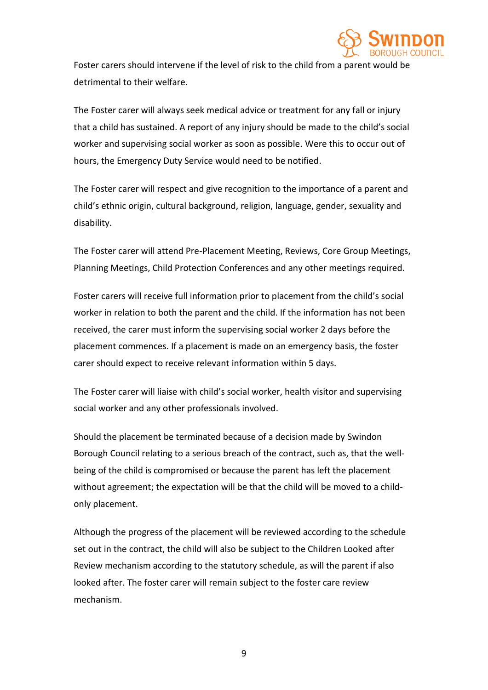

Foster carers should intervene if the level of risk to the child from a parent would be detrimental to their welfare.

The Foster carer will always seek medical advice or treatment for any fall or injury that a child has sustained. A report of any injury should be made to the child's social worker and supervising social worker as soon as possible. Were this to occur out of hours, the Emergency Duty Service would need to be notified.

The Foster carer will respect and give recognition to the importance of a parent and child's ethnic origin, cultural background, religion, language, gender, sexuality and disability.

The Foster carer will attend Pre-Placement Meeting, Reviews, Core Group Meetings, Planning Meetings, Child Protection Conferences and any other meetings required.

Foster carers will receive full information prior to placement from the child's social worker in relation to both the parent and the child. If the information has not been received, the carer must inform the supervising social worker 2 days before the placement commences. If a placement is made on an emergency basis, the foster carer should expect to receive relevant information within 5 days.

The Foster carer will liaise with child's social worker, health visitor and supervising social worker and any other professionals involved.

Should the placement be terminated because of a decision made by Swindon Borough Council relating to a serious breach of the contract, such as, that the wellbeing of the child is compromised or because the parent has left the placement without agreement; the expectation will be that the child will be moved to a childonly placement.

Although the progress of the placement will be reviewed according to the schedule set out in the contract, the child will also be subject to the Children Looked after Review mechanism according to the statutory schedule, as will the parent if also looked after. The foster carer will remain subject to the foster care review mechanism.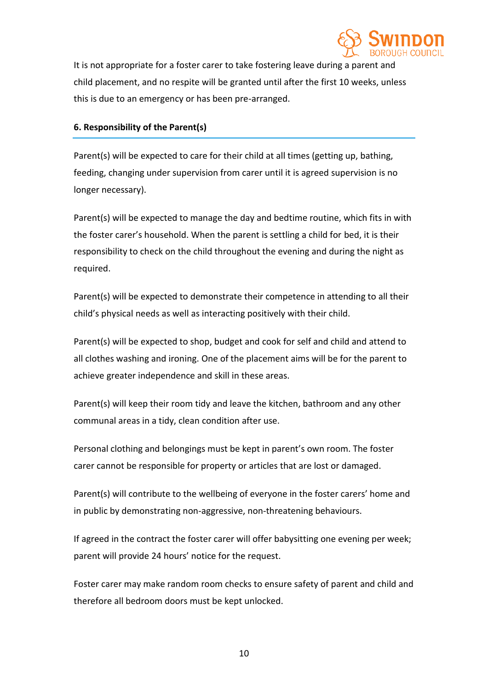

It is not appropriate for a foster carer to take fostering leave during a parent and child placement, and no respite will be granted until after the first 10 weeks, unless this is due to an emergency or has been pre-arranged.

#### **6. Responsibility of the Parent(s)**

Parent(s) will be expected to care for their child at all times (getting up, bathing, feeding, changing under supervision from carer until it is agreed supervision is no longer necessary).

Parent(s) will be expected to manage the day and bedtime routine, which fits in with the foster carer's household. When the parent is settling a child for bed, it is their responsibility to check on the child throughout the evening and during the night as required.

Parent(s) will be expected to demonstrate their competence in attending to all their child's physical needs as well as interacting positively with their child.

Parent(s) will be expected to shop, budget and cook for self and child and attend to all clothes washing and ironing. One of the placement aims will be for the parent to achieve greater independence and skill in these areas.

Parent(s) will keep their room tidy and leave the kitchen, bathroom and any other communal areas in a tidy, clean condition after use.

Personal clothing and belongings must be kept in parent's own room. The foster carer cannot be responsible for property or articles that are lost or damaged.

Parent(s) will contribute to the wellbeing of everyone in the foster carers' home and in public by demonstrating non-aggressive, non-threatening behaviours.

If agreed in the contract the foster carer will offer babysitting one evening per week; parent will provide 24 hours' notice for the request.

Foster carer may make random room checks to ensure safety of parent and child and therefore all bedroom doors must be kept unlocked.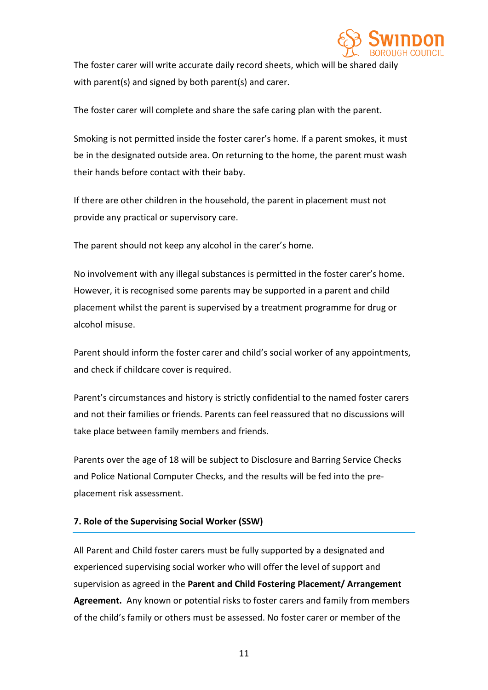

The foster carer will write accurate daily record sheets, which will be shared daily with parent(s) and signed by both parent(s) and carer.

The foster carer will complete and share the safe caring plan with the parent.

Smoking is not permitted inside the foster carer's home. If a parent smokes, it must be in the designated outside area. On returning to the home, the parent must wash their hands before contact with their baby.

If there are other children in the household, the parent in placement must not provide any practical or supervisory care.

The parent should not keep any alcohol in the carer's home.

No involvement with any illegal substances is permitted in the foster carer's home. However, it is recognised some parents may be supported in a parent and child placement whilst the parent is supervised by a treatment programme for drug or alcohol misuse.

Parent should inform the foster carer and child's social worker of any appointments, and check if childcare cover is required.

Parent's circumstances and history is strictly confidential to the named foster carers and not their families or friends. Parents can feel reassured that no discussions will take place between family members and friends.

Parents over the age of 18 will be subject to Disclosure and Barring Service Checks and Police National Computer Checks, and the results will be fed into the preplacement risk assessment.

## **7. Role of the Supervising Social Worker (SSW)**

All Parent and Child foster carers must be fully supported by a designated and experienced supervising social worker who will offer the level of support and supervision as agreed in the **Parent and Child Fostering Placement/ Arrangement Agreement.** Any known or potential risks to foster carers and family from members of the child's family or others must be assessed. No foster carer or member of the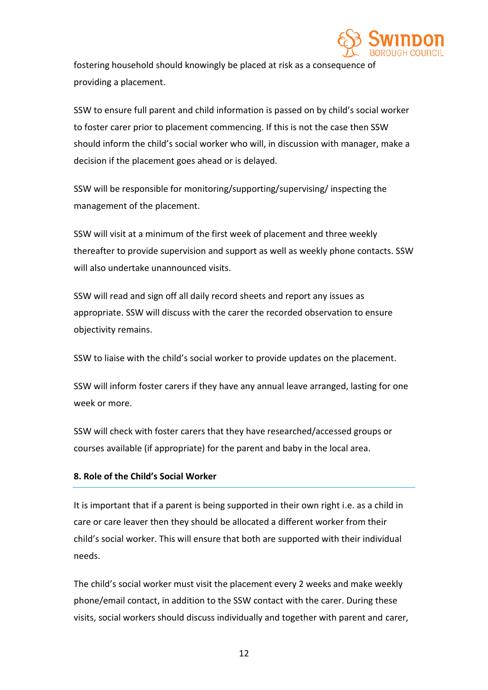

fostering household should knowingly be placed at risk as a consequence of providing a placement.

SSW to ensure full parent and child information is passed on by child's social worker to foster carer prior to placement commencing. If this is not the case then SSW should inform the child's social worker who will, in discussion with manager, make a decision if the placement goes ahead or is delayed.

SSW will be responsible for monitoring/supporting/supervising/ inspecting the management of the placement.

SSW will visit at a minimum of the first week of placement and three weekly thereafter to provide supervision and support as well as weekly phone contacts. SSW will also undertake unannounced visits.

SSW will read and sign off all daily record sheets and report any issues as appropriate. SSW will discuss with the carer the recorded observation to ensure objectivity remains.

SSW to liaise with the child's social worker to provide updates on the placement.

SSW will inform foster carers if they have any annual leave arranged, lasting for one week or more.

SSW will check with foster carers that they have researched/accessed groups or courses available (if appropriate) for the parent and baby in the local area.

## **8. Role of the Child's Social Worker**

It is important that if a parent is being supported in their own right i.e. as a child in care or care leaver then they should be allocated a different worker from their child's social worker. This will ensure that both are supported with their individual needs.

The child's social worker must visit the placement every 2 weeks and make weekly phone/email contact, in addition to the SSW contact with the carer. During these visits, social workers should discuss individually and together with parent and carer,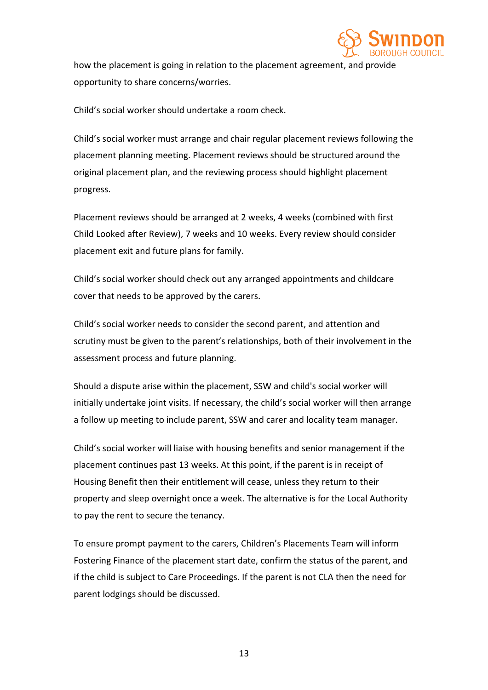

how the placement is going in relation to the placement agreement, and provide opportunity to share concerns/worries.

Child's social worker should undertake a room check.

Child's social worker must arrange and chair regular placement reviews following the placement planning meeting. Placement reviews should be structured around the original placement plan, and the reviewing process should highlight placement progress.

Placement reviews should be arranged at 2 weeks, 4 weeks (combined with first Child Looked after Review), 7 weeks and 10 weeks. Every review should consider placement exit and future plans for family.

Child's social worker should check out any arranged appointments and childcare cover that needs to be approved by the carers.

Child's social worker needs to consider the second parent, and attention and scrutiny must be given to the parent's relationships, both of their involvement in the assessment process and future planning.

Should a dispute arise within the placement, SSW and child's social worker will initially undertake joint visits. If necessary, the child's social worker will then arrange a follow up meeting to include parent, SSW and carer and locality team manager.

Child's social worker will liaise with housing benefits and senior management if the placement continues past 13 weeks. At this point, if the parent is in receipt of Housing Benefit then their entitlement will cease, unless they return to their property and sleep overnight once a week. The alternative is for the Local Authority to pay the rent to secure the tenancy.

To ensure prompt payment to the carers, Children's Placements Team will inform Fostering Finance of the placement start date, confirm the status of the parent, and if the child is subject to Care Proceedings. If the parent is not CLA then the need for parent lodgings should be discussed.

13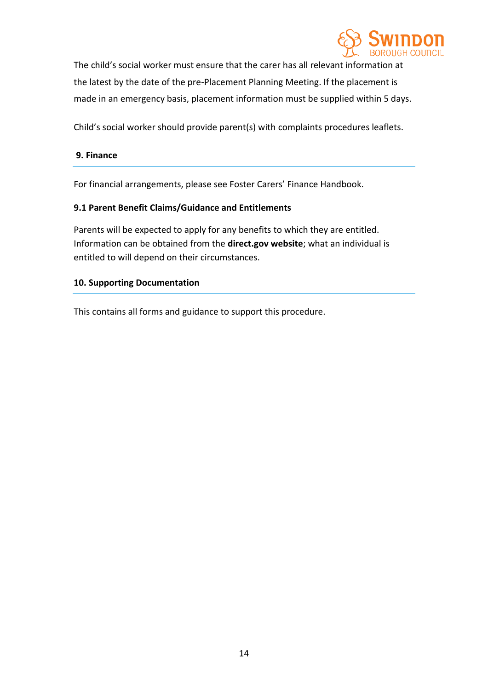

The child's social worker must ensure that the carer has all relevant information at the latest by the date of the pre-Placement Planning Meeting. If the placement is made in an emergency basis, placement information must be supplied within 5 days.

Child's social worker should provide parent(s) with complaints procedures leaflets.

#### **9. Finance**

For financial arrangements, please see Foster Carers' Finance Handbook.

#### **9.1 Parent Benefit Claims/Guidance and Entitlements**

Parents will be expected to apply for any benefits to which they are entitled. Information can be obtained from the **direct.gov website**; what an individual is entitled to will depend on their circumstances.

#### **10. Supporting Documentation**

This contains all forms and guidance to support this procedure.